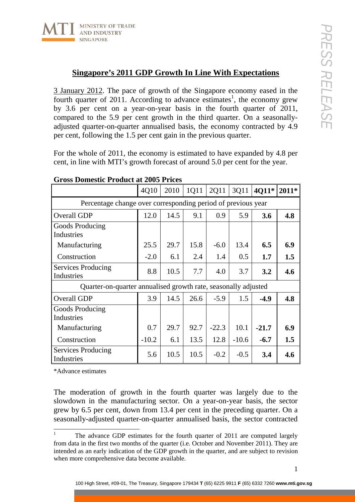

## **Singapore's 2011 GDP Growth In Line With Expectations**

3 January 2012. The pace of growth of the Singapore economy eased in the fourth quarter of 2011. According to advance estimates<sup>1</sup>, the economy grew by 3.6 per cent on a year-on-year basis in the fourth quarter of 2011, compared to the 5.9 per cent growth in the third quarter. On a seasonallyadjusted quarter-on-quarter annualised basis, the economy contracted by 4.9 per cent, following the 1.5 per cent gain in the previous quarter.

For the whole of 2011, the economy is estimated to have expanded by 4.8 per cent, in line with MTI's growth forecast of around 5.0 per cent for the year.

|                                                                | 4Q10    | 2010 | 1Q11 | 2Q11    | 3Q11    | 4Q11*   | $2011*$ |
|----------------------------------------------------------------|---------|------|------|---------|---------|---------|---------|
| Percentage change over corresponding period of previous year   |         |      |      |         |         |         |         |
| Overall GDP                                                    | 12.0    | 14.5 | 9.1  | 0.9     | 5.9     | 3.6     | 4.8     |
| Goods Producing<br>Industries                                  |         |      |      |         |         |         |         |
| Manufacturing                                                  | 25.5    | 29.7 | 15.8 | $-6.0$  | 13.4    | 6.5     | 6.9     |
| Construction                                                   | $-2.0$  | 6.1  | 2.4  | 1.4     | 0.5     | 1.7     | 1.5     |
| Services Producing<br>Industries                               | 8.8     | 10.5 | 7.7  | 4.0     | 3.7     | 3.2     | 4.6     |
| Quarter-on-quarter annualised growth rate, seasonally adjusted |         |      |      |         |         |         |         |
| Overall GDP                                                    | 3.9     | 14.5 | 26.6 | $-5.9$  | 1.5     | $-4.9$  | 4.8     |
| <b>Goods Producing</b><br>Industries                           |         |      |      |         |         |         |         |
| Manufacturing                                                  | 0.7     | 29.7 | 92.7 | $-22.3$ | 10.1    | $-21.7$ | 6.9     |
| Construction                                                   | $-10.2$ | 6.1  | 13.5 | 12.8    | $-10.6$ | $-6.7$  | 1.5     |
| Services Producing<br>Industries                               | 5.6     | 10.5 | 10.5 | $-0.2$  | $-0.5$  | 3.4     | 4.6     |

## **Gross Domestic Product at 2005 Prices**

\*Advance estimates

The moderation of growth in the fourth quarter was largely due to the slowdown in the manufacturing sector. On a year-on-year basis, the sector grew by 6.5 per cent, down from 13.4 per cent in the preceding quarter. On a seasonally-adjusted quarter-on-quarter annualised basis, the sector contracted

The advance GDP estimates for the fourth quarter of 2011 are computed largely from data in the first two months of the quarter (i.e. October and November 2011). They are intended as an early indication of the GDP growth in the quarter, and are subject to revision when more comprehensive data become available.